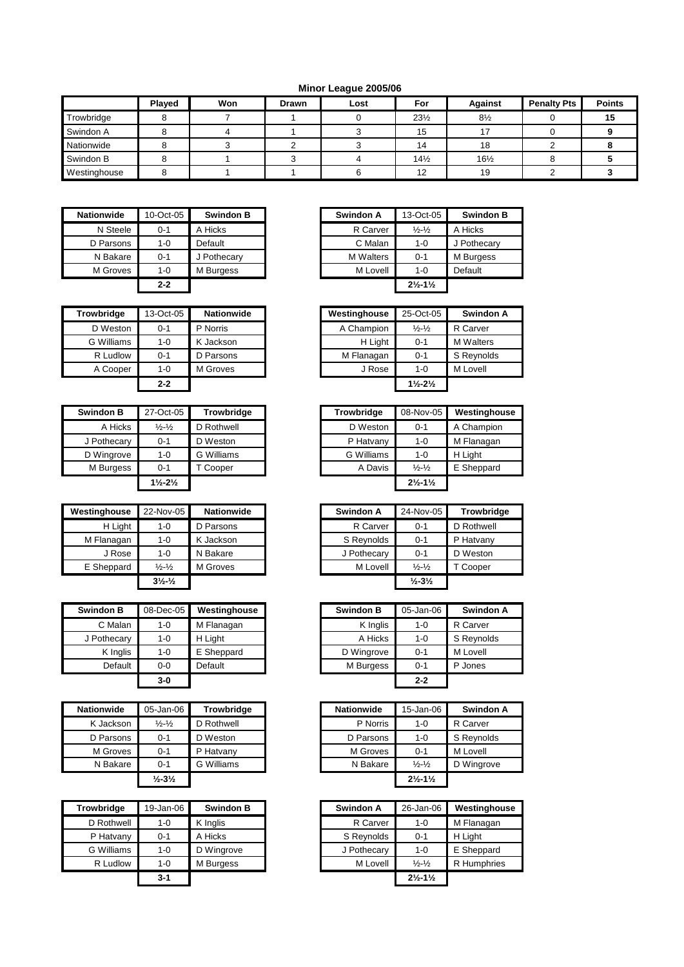## **Minor League 2005/06**

|              | Played | Won | Drawn | Lost | For             | <b>Against</b>  | <b>Penalty Pts</b> | <b>Points</b> |
|--------------|--------|-----|-------|------|-----------------|-----------------|--------------------|---------------|
| Trowbridge   |        |     |       |      | $23\frac{1}{2}$ | $8\frac{1}{2}$  |                    | 15            |
| Swindon A    |        |     |       |      | 15              | $\overline{ }$  |                    |               |
| Nationwide   |        |     |       |      | 14              | 18              |                    |               |
| Swindon B    |        |     |       |      | $14\frac{1}{2}$ | $16\frac{1}{2}$ |                    |               |
| Westinghouse |        |     |       |      | 12              | 19              |                    |               |

| <b>Nationwide</b> | 10-Oct-05 | <b>Swindon B</b> | Swindon A        | 13-Oct-05                     | Swin    |
|-------------------|-----------|------------------|------------------|-------------------------------|---------|
| N Steele          | $0 - 1$   | A Hicks          | R Carver         | $\frac{1}{2} - \frac{1}{2}$   | A Hicks |
| D Parsons         | $1 - 0$   | Default          | C Malan          | $1 - 0$                       | J Pothe |
| N Bakare          | $0 - 1$   | J Pothecary      | <b>M</b> Walters | $0 - 1$                       | M Burg  |
| M Groves          | $1 - 0$   | M Burgess        | M Lovell         | $1 - 0$                       | Default |
|                   | $2 - 2$   |                  |                  | $2\frac{1}{2} - 1\frac{1}{2}$ |         |

| <b>Trowbridge</b> | 13-Oct-05 | <b>Nationwide</b> | Westinghouse | 25-Oct-05                     | Swindo           |
|-------------------|-----------|-------------------|--------------|-------------------------------|------------------|
| D Weston          | 0-1       | P Norris          | A Champion   | $\frac{1}{2} - \frac{1}{2}$   | R Carver         |
| G Williams        | 1-0       | K Jackson         | H Light      | $0 - 1$                       | <b>M</b> Walters |
| R Ludlow          | $0 - 1$   | D Parsons         | M Flanagan   | $0 - 1$                       | S Reynold        |
| A Cooper          | 1-0       | M Groves          | J Rose       | $1 - 0$                       | M Lovell         |
|                   | $2 - 2$   |                   |              | $1\frac{1}{2} - 2\frac{1}{2}$ |                  |

| Swindon B   | 27-Oct-05                     | <b>Trowbridge</b> | Trowbridge | 08-Nov-05                     | Westin  |
|-------------|-------------------------------|-------------------|------------|-------------------------------|---------|
| A Hicks     | $\frac{1}{2} - \frac{1}{2}$   | D Rothwell        | D Weston   | $0 - 1$                       | A Char  |
| J Pothecary | $0 - 1$                       | D Weston          | P Hatvany  | $1 - 0$                       | M Flan  |
| D Wingrove  | $1 - 0$                       | G Williams        | G Williams | $1 - 0$                       | H Light |
| M Burgess   | $0 - 1$                       | T Cooper          | A Davis    | $\frac{1}{2} - \frac{1}{2}$   | E Shep  |
|             | $1\frac{1}{2} - 2\frac{1}{2}$ |                   |            | $2\frac{1}{2} - 1\frac{1}{2}$ |         |

| Westinghouse | 22-Nov-05                     | <b>Nationwide</b> | Swindon A   | 24-Nov-05                    | <b>Trowbri</b> |
|--------------|-------------------------------|-------------------|-------------|------------------------------|----------------|
| H Light      | 1-0                           | D Parsons         | R Carver    | $0 - 1$                      | D Rothwel      |
| M Flanagan   | 1-0                           | K Jackson         | S Reynolds  | $0 - 1$                      | P Hatvany      |
| J Rose       | 1-0                           | N Bakare          | J Pothecary | $0 - 1$                      | D Weston       |
| E Sheppard   | $\frac{1}{2}$ - $\frac{1}{2}$ | M Groves          | M Lovell    | $\frac{1}{2} - \frac{1}{2}$  | T Cooper       |
|              | $3\frac{1}{2}$ $\frac{1}{2}$  |                   |             | $\frac{1}{2} - 3\frac{1}{2}$ |                |

| <b>Swindon B</b> | 08-Dec-05 | Westinghouse |
|------------------|-----------|--------------|
| C Malan          | 1-0       | M Flanagan   |
| J Pothecary      | $1 - 0$   | H Light      |
| K Inglis         | 1-0       | E Sheppard   |
| Default          | $0 - 0$   | Default      |
|                  |           |              |

| <b>Nationwide</b> | 05-Jan-06                     | <b>Trowbridge</b> | <b>Nationwide</b> | 15-Jan-06                     | Swind    |
|-------------------|-------------------------------|-------------------|-------------------|-------------------------------|----------|
| K Jackson         | $\frac{1}{2}$ - $\frac{1}{2}$ | D Rothwell        | P Norris          | $1 - 0$                       | R Carver |
| D Parsons         | $0 - 1$                       | D Weston          | D Parsons         | $1 - 0$                       | S Reyno  |
| M Groves          | $0 - 1$                       | P Hatvany         | M Groves          | $0 - 1$                       | M Lovell |
| N Bakare          | 0-1                           | G Williams        | N Bakare          | $\frac{1}{2} - \frac{1}{2}$   | D Wingro |
|                   | $\frac{1}{2} - 3\frac{1}{2}$  |                   |                   | $2\frac{1}{2} - 1\frac{1}{2}$ |          |

| <b>Trowbridge</b> | 19-Jan-06 | <b>Swindon B</b> | Swindon A   | 26-Jan-06                     | Westin  |
|-------------------|-----------|------------------|-------------|-------------------------------|---------|
| D Rothwell        | $1 - 0$   | K Inglis         | R Carver    | $1 - 0$                       | M Flan  |
| P Hatvany         | $0 - 1$   | A Hicks          | S Reynolds  | $0 - 1$                       | H Light |
| G Williams        | $1 - 0$   | D Wingrove       | J Pothecary | $1 - 0$                       | E Shep  |
| R Ludlow          | $1 - 0$   | M Burgess        | M Lovell    | $\frac{1}{2} - \frac{1}{2}$   | R Hum   |
|                   | $3 - 1$   |                  |             | $2\frac{1}{2} - 1\frac{1}{2}$ |         |

| Nationwide | 10-Oct-05 | <b>Swindon B</b> | Swindon A        | 13-Oct-05                     | <b>Swindon B</b> |
|------------|-----------|------------------|------------------|-------------------------------|------------------|
| N Steele   | $0 - 1$   | A Hicks          | R Carver         | $\frac{1}{2} - \frac{1}{2}$   | A Hicks          |
| D Parsons  | $1 - 0$   | Default          | C Malan          | $1 - 0$                       | J Pothecary      |
| N Bakare   | $0 - 1$   | J Pothecary      | <b>M</b> Walters | $0 - 1$                       | M Burgess        |
| M Groves   | $1 - 0$   | M Burgess        | M Lovell         | $1 - 0$                       | Default          |
|            | $2 - 2$   |                  |                  | $2\frac{1}{2} - 1\frac{1}{2}$ |                  |

| Trowbridge | 13-Oct-05 | <b>Nationwide</b> |
|------------|-----------|-------------------|
| D Weston   | $0 - 1$   | P Norris          |
| G Williams | $1 - 0$   | K Jackson         |
| R Ludlow   | $0 - 1$   | D Parsons         |
| A Cooper   | $1 - 0$   | M Groves          |
|            | $2 - 2$   |                   |

| Swindon B   | 27-Oct-05                     | <b>Trowbridge</b> | Trowbridge | 08-Nov-05                     | Westinghouse |
|-------------|-------------------------------|-------------------|------------|-------------------------------|--------------|
| A Hicks     | $\frac{1}{2} - \frac{1}{2}$   | D Rothwell        | D Weston   | $0 - 1$                       | A Champion   |
| J Pothecary | $0 - 1$                       | D Weston          | P Hatvany  | $1 - 0$                       | M Flanagan   |
| D Wingrove  | $1 - 0$                       | G Williams        | G Williams | $1 - 0$                       | H Light      |
| M Burgess   | $0 - 1$                       | Cooper            | A Davis    | $\frac{1}{2} - \frac{1}{2}$   | E Sheppard   |
|             | $1\frac{1}{2} - 2\frac{1}{2}$ |                   |            | $2\frac{1}{2} - 1\frac{1}{2}$ |              |

| Westinghouse | 22-Nov-05                    | <b>Nationwide</b> |
|--------------|------------------------------|-------------------|
| H Light      | 1-0                          | D Parsons         |
| M Flanagan   | 1-0                          | K Jackson         |
| J Rose       | $1 - 0$                      | N Bakare          |
| E Sheppard   | $\frac{1}{2} - \frac{1}{2}$  | M Groves          |
|              | $3\frac{1}{2}$ $\frac{1}{2}$ |                   |

| Swindon B   | 08-Dec-05 | Westinghouse | <b>Swindon B</b> | 05-Jan-06 | Swindon A  |
|-------------|-----------|--------------|------------------|-----------|------------|
| C Malan     | $1 - 0$   | M Flanagan   | K Inglis         | $1 - 0$   | R Carver   |
| J Pothecary | $1 - 0$   | H Light      | A Hicks          | $1 - 0$   | S Reynolds |
| K Inglis    | $1 - 0$   | E Sheppard   | D Wingrove       | $0 - 1$   | M Lovell   |
| Default     | $0-0$     | Default      | M Burgess        | $0 - 1$   | P Jones    |
|             | $3-0$     |              |                  | $2 - 2$   |            |

| Nationwide | 05-Jan-06                    | <b>Trowbridge</b> | <b>Nationwide</b> | 15-Jan-06                     | Swindon A  |
|------------|------------------------------|-------------------|-------------------|-------------------------------|------------|
| K Jackson  | $\frac{1}{2} - \frac{1}{2}$  | D Rothwell        | P Norris          | $1 - 0$                       | R Carver   |
| D Parsons  | $0 - 1$                      | D Weston          | D Parsons         | $1 - 0$                       | S Revnolds |
| M Groves   | $0 - 1$                      | P Hatvany         | M Groves          | $0 - 1$                       | M Lovell   |
| N Bakare   | $0 - 1$                      | G Williams        | N Bakare          | $\frac{1}{2} - \frac{1}{2}$   | D Wingrove |
|            | $\frac{1}{2} - 3\frac{1}{2}$ |                   |                   | $2\frac{1}{2} - 1\frac{1}{2}$ |            |

| Trowbridge | 19-Jan-06 | <b>Swindon B</b> | Swindon A   | 26-Jan-06                     | Westinghouse |
|------------|-----------|------------------|-------------|-------------------------------|--------------|
| D Rothwell | $1-0$     | K Inglis         | R Carver    | $1 - 0$                       | M Flanagan   |
| P Hatvany  | $0 - 1$   | A Hicks          | S Reynolds  | $0 - 1$                       | H Light      |
| G Williams | 1-0       | D Wingrove       | J Pothecary | $1 - 0$                       | E Sheppard   |
| R Ludlow   | $1 - 0$   | M Burgess        | M Lovell    | $\frac{1}{2} - \frac{1}{2}$   | R Humphries  |
|            | $3 - 1$   |                  |             | $2\frac{1}{2} - 1\frac{1}{2}$ |              |